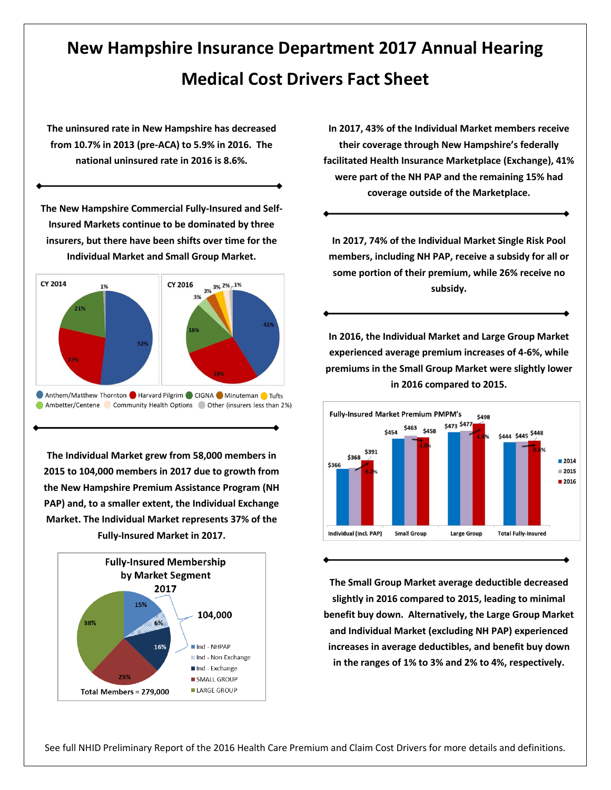## **New Hampshire Insurance Department 2017 Annual Hearing Medical Cost Drivers Fact Sheet**

**The uninsured rate in New Hampshire has decreased from 10.7% in 2013 (pre-ACA) to 5.9% in 2016. The national uninsured rate in 2016 is 8.6%.**

**The New Hampshire Commercial Fully-Insured and Self-Insured Markets continue to be dominated by three insurers, but there have been shifts over time for the Individual Market and Small Group Market.**



**The Individual Market grew from 58,000 members in 2015 to 104,000 members in 2017 due to growth from the New Hampshire Premium Assistance Program (NH PAP) and, to a smaller extent, the Individual Exchange Market. The Individual Market represents 37% of the Fully-Insured Market in 2017.**



**In 2017, 43% of the Individual Market members receive their coverage through New Hampshire's federally facilitated Health Insurance Marketplace (Exchange), 41% were part of the NH PAP and the remaining 15% had coverage outside of the Marketplace.**

**In 2017, 74% of the Individual Market Single Risk Pool members, including NH PAP, receive a subsidy for all or some portion of their premium, while 26% receive no subsidy.**

**In 2016, the Individual Market and Large Group Market experienced average premium increases of 4-6%, while premiums in the Small Group Market were slightly lower in 2016 compared to 2015.**



**The Small Group Market average deductible decreased slightly in 2016 compared to 2015, leading to minimal benefit buy down. Alternatively, the Large Group Market and Individual Market (excluding NH PAP) experienced increases in average deductibles, and benefit buy down in the ranges of 1% to 3% and 2% to 4%, respectively.**

See full NHID Preliminary Report of the 2016 Health Care Premium and Claim Cost Drivers for more details and definitions.